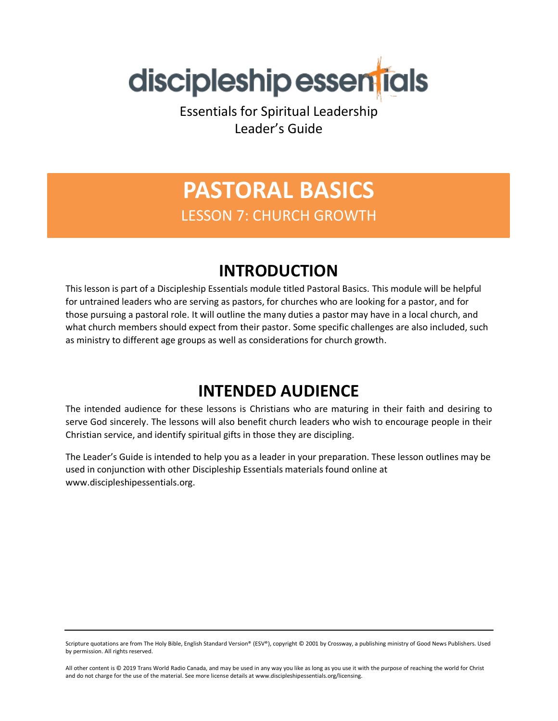

Essentials for Spiritual Leadership Leader's Guide

# **PASTORAL BASICS** LESSON 7: CHURCH GROWTH

### **INTRODUCTION**

This lesson is part of a Discipleship Essentials module titled Pastoral Basics. This module will be helpful for untrained leaders who are serving as pastors, for churches who are looking for a pastor, and for those pursuing a pastoral role. It will outline the many duties a pastor may have in a local church, and what church members should expect from their pastor. Some specific challenges are also included, such as ministry to different age groups as well as considerations for church growth.

### **INTENDED AUDIENCE**

The intended audience for these lessons is Christians who are maturing in their faith and desiring to serve God sincerely. The lessons will also benefit church leaders who wish to encourage people in their Christian service, and identify spiritual gifts in those they are discipling.

The Leader's Guide is intended to help you as a leader in your preparation. These lesson outlines may be used in conjunction with other Discipleship Essentials materials found online at www.discipleshipessentials.org.

Scripture quotations are from The Holy Bible, English Standard Version® (ESV®), copyright © 2001 by Crossway, a publishing ministry of Good News Publishers. Used by permission. All rights reserved.

All other content is © 2019 Trans World Radio Canada, and may be used in any way you like as long as you use it with the purpose of reaching the world for Christ and do not charge for the use of the material. See more license details at www.discipleshipessentials.org/licensing.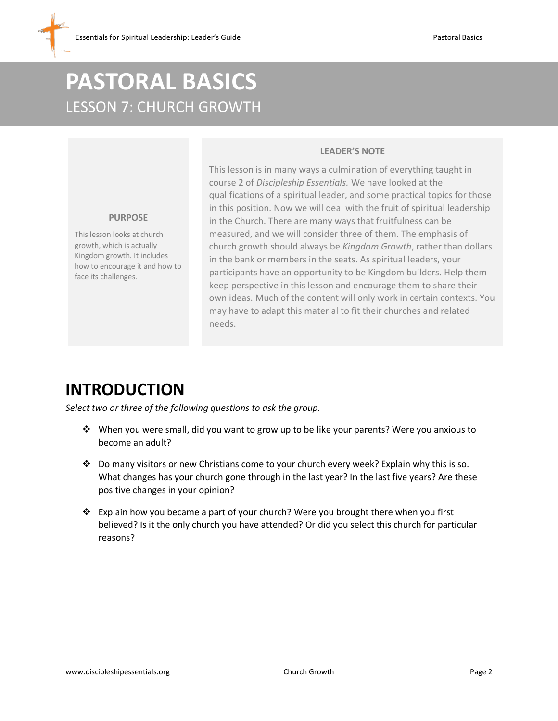# **PASTORAL BASICS** LESSON 7: CHURCH GROWTH

#### **LEADER'S NOTE**

This lesson is in many ways a culmination of everything taught in course 2 of *Discipleship Essentials.* We have looked at the qualifications of a spiritual leader, and some practical topics for those in this position. Now we will deal with the fruit of spiritual leadership in the Church. There are many ways that fruitfulness can be measured, and we will consider three of them. The emphasis of church growth should always be *Kingdom Growth*, rather than dollars in the bank or members in the seats. As spiritual leaders, your participants have an opportunity to be Kingdom builders. Help them keep perspective in this lesson and encourage them to share their own ideas. Much of the content will only work in certain contexts. You may have to adapt this material to fit their churches and related needs.

#### **PURPOSE**

This lesson looks at church growth, which is actually Kingdom growth. It includes how to encourage it and how to face its challenges.

### **INTRODUCTION**

*Select two or three of the following questions to ask the group.*

- ❖ When you were small, did you want to grow up to be like your parents? Were you anxious to become an adult?
- ❖ Do many visitors or new Christians come to your church every week? Explain why this is so. What changes has your church gone through in the last year? In the last five years? Are these positive changes in your opinion?
- ❖ Explain how you became a part of your church? Were you brought there when you first believed? Is it the only church you have attended? Or did you select this church for particular reasons?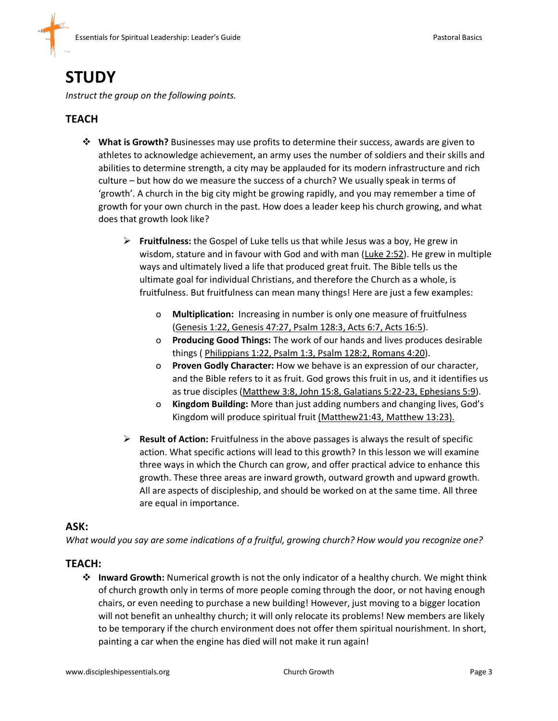### **STUDY**

*Instruct the group on the following points.*

#### **TEACH**

- ❖ **What is Growth?** Businesses may use profits to determine their success, awards are given to athletes to acknowledge achievement, an army uses the number of soldiers and their skills and abilities to determine strength, a city may be applauded for its modern infrastructure and rich culture – but how do we measure the success of a church? We usually speak in terms of 'growth'. A church in the big city might be growing rapidly, and you may remember a time of growth for your own church in the past. How does a leader keep his church growing, and what does that growth look like?
	- ➢ **Fruitfulness:** the Gospel of Luke tells us that while Jesus was a boy, He grew in wisdom, stature and in favour with God and with man (Luke 2:52). He grew in multiple ways and ultimately lived a life that produced great fruit. The Bible tells us the ultimate goal for individual Christians, and therefore the Church as a whole, is fruitfulness. But fruitfulness can mean many things! Here are just a few examples:
		- o **Multiplication:** Increasing in number is only one measure of fruitfulness (Genesis 1:22, Genesis 47:27, Psalm 128:3, Acts 6:7, Acts 16:5).
		- o **Producing Good Things:** The work of our hands and lives produces desirable things ( Philippians 1:22, Psalm 1:3, Psalm 128:2, Romans 4:20).
		- o **Proven Godly Character:** How we behave is an expression of our character, and the Bible refers to it as fruit. God grows this fruit in us, and it identifies us as true disciples (Matthew 3:8, John 15:8, Galatians 5:22-23, Ephesians 5:9).
		- o **Kingdom Building:** More than just adding numbers and changing lives, God's Kingdom will produce spiritual fruit (Matthew21:43, Matthew 13:23).
	- ➢ **Result of Action:** Fruitfulness in the above passages is always the result of specific action. What specific actions will lead to this growth? In this lesson we will examine three ways in which the Church can grow, and offer practical advice to enhance this growth. These three areas are inward growth, outward growth and upward growth. All are aspects of discipleship, and should be worked on at the same time. All three are equal in importance.

#### **ASK:**

*What would you say are some indications of a fruitful, growing church? How would you recognize one?*

#### **TEACH:**

❖ **Inward Growth:** Numerical growth is not the only indicator of a healthy church. We might think of church growth only in terms of more people coming through the door, or not having enough chairs, or even needing to purchase a new building! However, just moving to a bigger location will not benefit an unhealthy church; it will only relocate its problems! New members are likely to be temporary if the church environment does not offer them spiritual nourishment. In short, painting a car when the engine has died will not make it run again!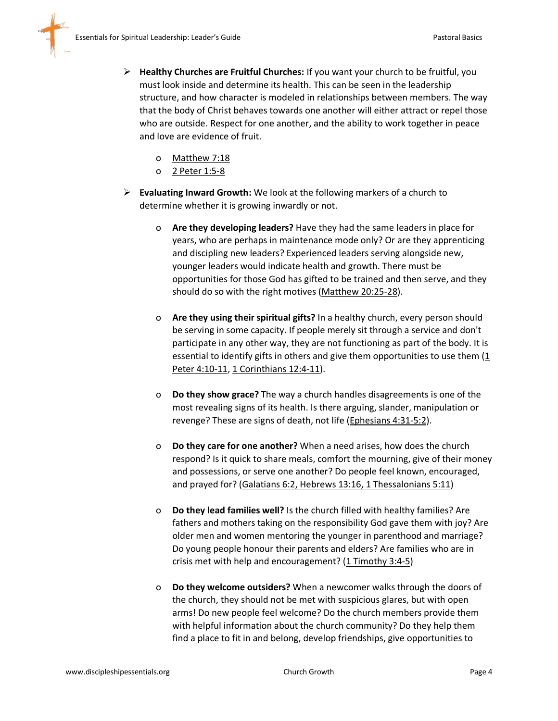- ➢ **Healthy Churches are Fruitful Churches:** If you want your church to be fruitful, you must look inside and determine its health. This can be seen in the leadership structure, and how character is modeled in relationships between members. The way that the body of Christ behaves towards one another will either attract or repel those who are outside. Respect for one another, and the ability to work together in peace and love are evidence of fruit.
	- o Matthew 7:18
	- o 2 Peter 1:5-8
- ➢ **Evaluating Inward Growth:** We look at the following markers of a church to determine whether it is growing inwardly or not.
	- o **Are they developing leaders?** Have they had the same leaders in place for years, who are perhaps in maintenance mode only? Or are they apprenticing and discipling new leaders? Experienced leaders serving alongside new, younger leaders would indicate health and growth. There must be opportunities for those God has gifted to be trained and then serve, and they should do so with the right motives (Matthew 20:25-28).
	- o **Are they using their spiritual gifts?** In a healthy church, every person should be serving in some capacity. If people merely sit through a service and don't participate in any other way, they are not functioning as part of the body. It is essential to identify gifts in others and give them opportunities to use them (1 Peter 4:10-11, 1 Corinthians 12:4-11).
	- o **Do they show grace?** The way a church handles disagreements is one of the most revealing signs of its health. Is there arguing, slander, manipulation or revenge? These are signs of death, not life (Ephesians 4:31-5:2).
	- o **Do they care for one another?** When a need arises, how does the church respond? Is it quick to share meals, comfort the mourning, give of their money and possessions, or serve one another? Do people feel known, encouraged, and prayed for? (Galatians 6:2, Hebrews 13:16, 1 Thessalonians 5:11)
	- o **Do they lead families well?** Is the church filled with healthy families? Are fathers and mothers taking on the responsibility God gave them with joy? Are older men and women mentoring the younger in parenthood and marriage? Do young people honour their parents and elders? Are families who are in crisis met with help and encouragement? (1 Timothy 3:4-5)
	- o **Do they welcome outsiders?** When a newcomer walks through the doors of the church, they should not be met with suspicious glares, but with open arms! Do new people feel welcome? Do the church members provide them with helpful information about the church community? Do they help them find a place to fit in and belong, develop friendships, give opportunities to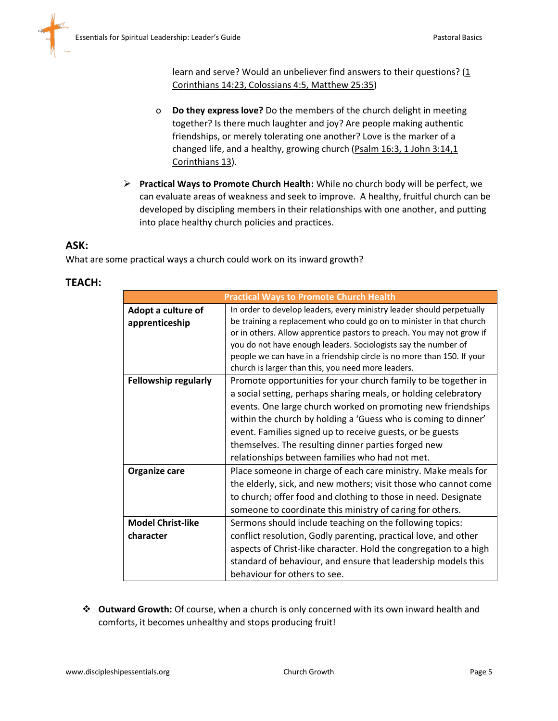learn and serve? Would an unbeliever find answers to their questions?  $(1$ Corinthians 14:23, Colossians 4:5, Matthew 25:35)

- o **Do they express love?** Do the members of the church delight in meeting together? Is there much laughter and joy? Are people making authentic friendships, or merely tolerating one another? Love is the marker of a changed life, and a healthy, growing church (Psalm 16:3, 1 John 3:14,1 Corinthians 13).
- ➢ **Practical Ways to Promote Church Health:** While no church body will be perfect, we can evaluate areas of weakness and seek to improve. A healthy, fruitful church can be developed by discipling members in their relationships with one another, and putting into place healthy church policies and practices.

#### **ASK:**

What are some practical ways a church could work on its inward growth?

#### **TEACH:**

| <b>Practical Ways to Promote Church Health</b> |                                                                        |  |
|------------------------------------------------|------------------------------------------------------------------------|--|
| Adopt a culture of                             | In order to develop leaders, every ministry leader should perpetually  |  |
| apprenticeship                                 | be training a replacement who could go on to minister in that church   |  |
|                                                | or in others. Allow apprentice pastors to preach. You may not grow if  |  |
|                                                | you do not have enough leaders. Sociologists say the number of         |  |
|                                                | people we can have in a friendship circle is no more than 150. If your |  |
|                                                | church is larger than this, you need more leaders.                     |  |
| <b>Fellowship regularly</b>                    | Promote opportunities for your church family to be together in         |  |
|                                                | a social setting, perhaps sharing meals, or holding celebratory        |  |
|                                                | events. One large church worked on promoting new friendships           |  |
|                                                | within the church by holding a 'Guess who is coming to dinner'         |  |
|                                                | event. Families signed up to receive guests, or be guests              |  |
|                                                | themselves. The resulting dinner parties forged new                    |  |
|                                                | relationships between families who had not met.                        |  |
| Organize care                                  | Place someone in charge of each care ministry. Make meals for          |  |
|                                                | the elderly, sick, and new mothers; visit those who cannot come        |  |
|                                                | to church; offer food and clothing to those in need. Designate         |  |
|                                                | someone to coordinate this ministry of caring for others.              |  |
| <b>Model Christ-like</b>                       | Sermons should include teaching on the following topics:               |  |
| character                                      | conflict resolution, Godly parenting, practical love, and other        |  |
|                                                | aspects of Christ-like character. Hold the congregation to a high      |  |
|                                                | standard of behaviour, and ensure that leadership models this          |  |
|                                                | behaviour for others to see.                                           |  |

❖ **Outward Growth:** Of course, when a church is only concerned with its own inward health and comforts, it becomes unhealthy and stops producing fruit!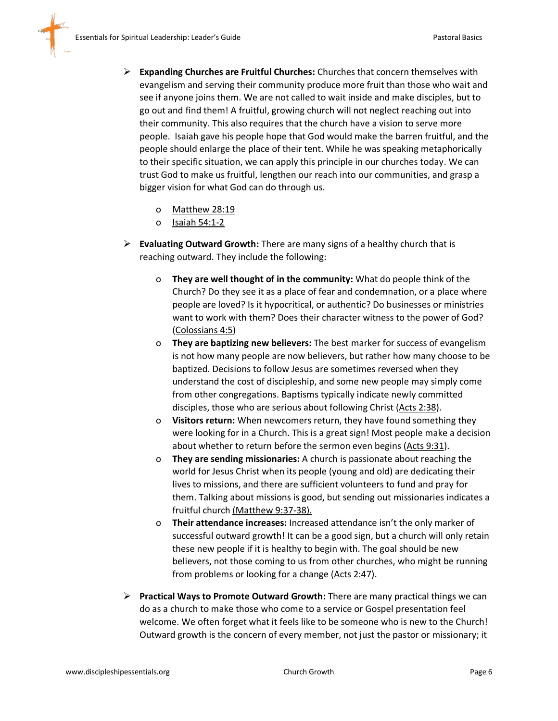- ➢ **Expanding Churches are Fruitful Churches:** Churches that concern themselves with evangelism and serving their community produce more fruit than those who wait and see if anyone joins them. We are not called to wait inside and make disciples, but to go out and find them! A fruitful, growing church will not neglect reaching out into their community. This also requires that the church have a vision to serve more people. Isaiah gave his people hope that God would make the barren fruitful, and the people should enlarge the place of their tent. While he was speaking metaphorically to their specific situation, we can apply this principle in our churches today. We can trust God to make us fruitful, lengthen our reach into our communities, and grasp a bigger vision for what God can do through us.
	- o Matthew 28:19
	- o Isaiah 54:1-2
- ➢ **Evaluating Outward Growth:** There are many signs of a healthy church that is reaching outward. They include the following:
	- o **They are well thought of in the community:** What do people think of the Church? Do they see it as a place of fear and condemnation, or a place where people are loved? Is it hypocritical, or authentic? Do businesses or ministries want to work with them? Does their character witness to the power of God? (Colossians 4:5)
	- o **They are baptizing new believers:** The best marker for success of evangelism is not how many people are now believers, but rather how many choose to be baptized. Decisions to follow Jesus are sometimes reversed when they understand the cost of discipleship, and some new people may simply come from other congregations. Baptisms typically indicate newly committed disciples, those who are serious about following Christ (Acts 2:38).
	- o **Visitors return:** When newcomers return, they have found something they were looking for in a Church. This is a great sign! Most people make a decision about whether to return before the sermon even begins (Acts 9:31).
	- o **They are sending missionaries:** A church is passionate about reaching the world for Jesus Christ when its people (young and old) are dedicating their lives to missions, and there are sufficient volunteers to fund and pray for them. Talking about missions is good, but sending out missionaries indicates a fruitful church (Matthew 9:37-38).
	- o **Their attendance increases:** Increased attendance isn't the only marker of successful outward growth! It can be a good sign, but a church will only retain these new people if it is healthy to begin with. The goal should be new believers, not those coming to us from other churches, who might be running from problems or looking for a change (Acts 2:47).
- ➢ **Practical Ways to Promote Outward Growth:** There are many practical things we can do as a church to make those who come to a service or Gospel presentation feel welcome. We often forget what it feels like to be someone who is new to the Church! Outward growth is the concern of every member, not just the pastor or missionary; it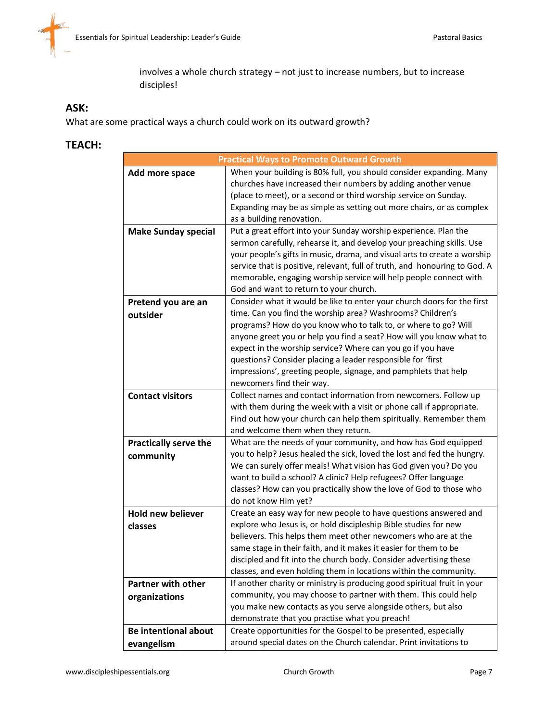involves a whole church strategy – not just to increase numbers, but to increase disciples!

#### **ASK:**

What are some practical ways a church could work on its outward growth?

#### **TEACH:**

|                              | <b>Practical Ways to Promote Outward Growth</b>                            |
|------------------------------|----------------------------------------------------------------------------|
| Add more space               | When your building is 80% full, you should consider expanding. Many        |
|                              | churches have increased their numbers by adding another venue              |
|                              | (place to meet), or a second or third worship service on Sunday.           |
|                              | Expanding may be as simple as setting out more chairs, or as complex       |
|                              | as a building renovation.                                                  |
| <b>Make Sunday special</b>   | Put a great effort into your Sunday worship experience. Plan the           |
|                              | sermon carefully, rehearse it, and develop your preaching skills. Use      |
|                              | your people's gifts in music, drama, and visual arts to create a worship   |
|                              | service that is positive, relevant, full of truth, and honouring to God. A |
|                              | memorable, engaging worship service will help people connect with          |
|                              | God and want to return to your church.                                     |
| Pretend you are an           | Consider what it would be like to enter your church doors for the first    |
| outsider                     | time. Can you find the worship area? Washrooms? Children's                 |
|                              | programs? How do you know who to talk to, or where to go? Will             |
|                              | anyone greet you or help you find a seat? How will you know what to        |
|                              | expect in the worship service? Where can you go if you have                |
|                              | questions? Consider placing a leader responsible for 'first                |
|                              | impressions', greeting people, signage, and pamphlets that help            |
|                              | newcomers find their way.                                                  |
| <b>Contact visitors</b>      | Collect names and contact information from newcomers. Follow up            |
|                              | with them during the week with a visit or phone call if appropriate.       |
|                              | Find out how your church can help them spiritually. Remember them          |
|                              | and welcome them when they return.                                         |
| <b>Practically serve the</b> | What are the needs of your community, and how has God equipped             |
| community                    | you to help? Jesus healed the sick, loved the lost and fed the hungry.     |
|                              | We can surely offer meals! What vision has God given you? Do you           |
|                              | want to build a school? A clinic? Help refugees? Offer language            |
|                              | classes? How can you practically show the love of God to those who         |
|                              | do not know Him yet?                                                       |
| <b>Hold new believer</b>     | Create an easy way for new people to have questions answered and           |
| classes                      | explore who Jesus is, or hold discipleship Bible studies for new           |
|                              | believers. This helps them meet other newcomers who are at the             |
|                              | same stage in their faith, and it makes it easier for them to be           |
|                              | discipled and fit into the church body. Consider advertising these         |
|                              | classes, and even holding them in locations within the community.          |
| <b>Partner with other</b>    | If another charity or ministry is producing good spiritual fruit in your   |
| organizations                | community, you may choose to partner with them. This could help            |
|                              | you make new contacts as you serve alongside others, but also              |
|                              | demonstrate that you practise what you preach!                             |
| <b>Be intentional about</b>  | Create opportunities for the Gospel to be presented, especially            |
| evangelism                   | around special dates on the Church calendar. Print invitations to          |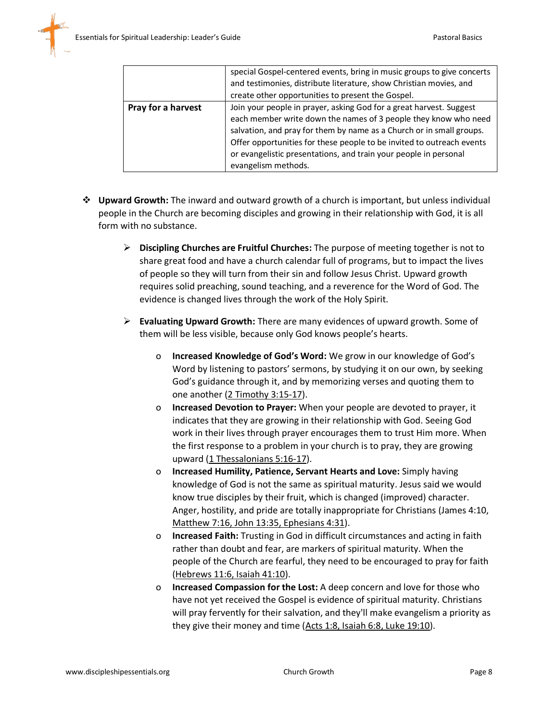|                    | special Gospel-centered events, bring in music groups to give concerts<br>and testimonies, distribute literature, show Christian movies, and<br>create other opportunities to present the Gospel.                                                                                                                                                                                  |
|--------------------|------------------------------------------------------------------------------------------------------------------------------------------------------------------------------------------------------------------------------------------------------------------------------------------------------------------------------------------------------------------------------------|
| Pray for a harvest | Join your people in prayer, asking God for a great harvest. Suggest<br>each member write down the names of 3 people they know who need<br>salvation, and pray for them by name as a Church or in small groups.<br>Offer opportunities for these people to be invited to outreach events<br>or evangelistic presentations, and train your people in personal<br>evangelism methods. |

- ❖ **Upward Growth:** The inward and outward growth of a church is important, but unless individual people in the Church are becoming disciples and growing in their relationship with God, it is all form with no substance.
	- ➢ **Discipling Churches are Fruitful Churches:** The purpose of meeting together is not to share great food and have a church calendar full of programs, but to impact the lives of people so they will turn from their sin and follow Jesus Christ. Upward growth requires solid preaching, sound teaching, and a reverence for the Word of God. The evidence is changed lives through the work of the Holy Spirit.
	- ➢ **Evaluating Upward Growth:** There are many evidences of upward growth. Some of them will be less visible, because only God knows people's hearts.
		- o **Increased Knowledge of God's Word:** We grow in our knowledge of God's Word by listening to pastors' sermons, by studying it on our own, by seeking God's guidance through it, and by memorizing verses and quoting them to one another (2 Timothy 3:15-17).
		- o **Increased Devotion to Prayer:** When your people are devoted to prayer, it indicates that they are growing in their relationship with God. Seeing God work in their lives through prayer encourages them to trust Him more. When the first response to a problem in your church is to pray, they are growing upward (1 Thessalonians 5:16-17).
		- o **Increased Humility, Patience, Servant Hearts and Love:** Simply having knowledge of God is not the same as spiritual maturity. Jesus said we would know true disciples by their fruit, which is changed (improved) character. Anger, hostility, and pride are totally inappropriate for Christians (James 4:10, Matthew 7:16, John 13:35, Ephesians 4:31).
		- o **Increased Faith:** Trusting in God in difficult circumstances and acting in faith rather than doubt and fear, are markers of spiritual maturity. When the people of the Church are fearful, they need to be encouraged to pray for faith (Hebrews 11:6, Isaiah 41:10).
		- o **Increased Compassion for the Lost:** A deep concern and love for those who have not yet received the Gospel is evidence of spiritual maturity. Christians will pray fervently for their salvation, and they'll make evangelism a priority as they give their money and time (Acts 1:8, Isaiah 6:8, Luke 19:10).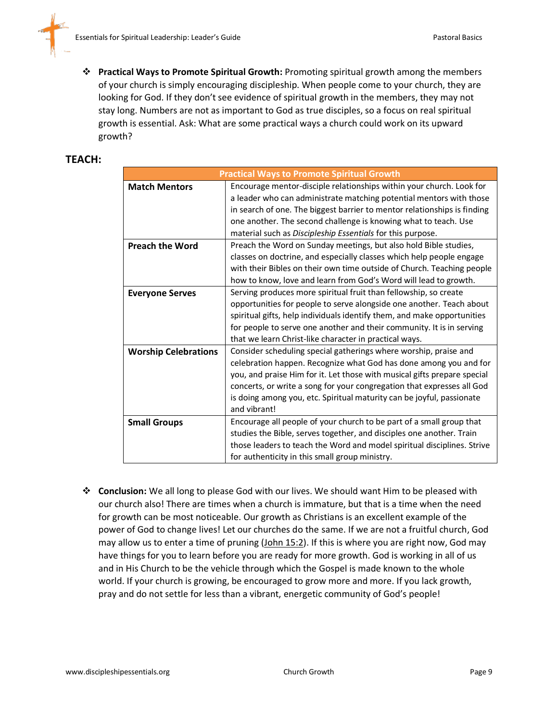

❖ **Practical Ways to Promote Spiritual Growth:** Promoting spiritual growth among the members of your church is simply encouraging discipleship. When people come to your church, they are looking for God. If they don't see evidence of spiritual growth in the members, they may not stay long. Numbers are not as important to God as true disciples, so a focus on real spiritual growth is essential. Ask: What are some practical ways a church could work on its upward growth?

#### **TEACH:**

| <b>Practical Ways to Promote Spiritual Growth</b> |                                                                          |  |
|---------------------------------------------------|--------------------------------------------------------------------------|--|
| <b>Match Mentors</b>                              | Encourage mentor-disciple relationships within your church. Look for     |  |
|                                                   | a leader who can administrate matching potential mentors with those      |  |
|                                                   | in search of one. The biggest barrier to mentor relationships is finding |  |
|                                                   | one another. The second challenge is knowing what to teach. Use          |  |
|                                                   | material such as Discipleship Essentials for this purpose.               |  |
| <b>Preach the Word</b>                            | Preach the Word on Sunday meetings, but also hold Bible studies,         |  |
|                                                   | classes on doctrine, and especially classes which help people engage     |  |
|                                                   | with their Bibles on their own time outside of Church. Teaching people   |  |
|                                                   | how to know, love and learn from God's Word will lead to growth.         |  |
| <b>Everyone Serves</b>                            | Serving produces more spiritual fruit than fellowship, so create         |  |
|                                                   | opportunities for people to serve alongside one another. Teach about     |  |
|                                                   | spiritual gifts, help individuals identify them, and make opportunities  |  |
|                                                   | for people to serve one another and their community. It is in serving    |  |
|                                                   | that we learn Christ-like character in practical ways.                   |  |
| <b>Worship Celebrations</b>                       | Consider scheduling special gatherings where worship, praise and         |  |
|                                                   | celebration happen. Recognize what God has done among you and for        |  |
|                                                   | you, and praise Him for it. Let those with musical gifts prepare special |  |
|                                                   | concerts, or write a song for your congregation that expresses all God   |  |
|                                                   | is doing among you, etc. Spiritual maturity can be joyful, passionate    |  |
|                                                   | and vibrant!                                                             |  |
| <b>Small Groups</b>                               | Encourage all people of your church to be part of a small group that     |  |
|                                                   | studies the Bible, serves together, and disciples one another. Train     |  |
|                                                   | those leaders to teach the Word and model spiritual disciplines. Strive  |  |
|                                                   | for authenticity in this small group ministry.                           |  |

❖ **Conclusion:** We all long to please God with our lives. We should want Him to be pleased with our church also! There are times when a church is immature, but that is a time when the need for growth can be most noticeable. Our growth as Christians is an excellent example of the power of God to change lives! Let our churches do the same. If we are not a fruitful church, God may allow us to enter a time of pruning (John 15:2). If this is where you are right now, God may have things for you to learn before you are ready for more growth. God is working in all of us and in His Church to be the vehicle through which the Gospel is made known to the whole world. If your church is growing, be encouraged to grow more and more. If you lack growth, pray and do not settle for less than a vibrant, energetic community of God's people!